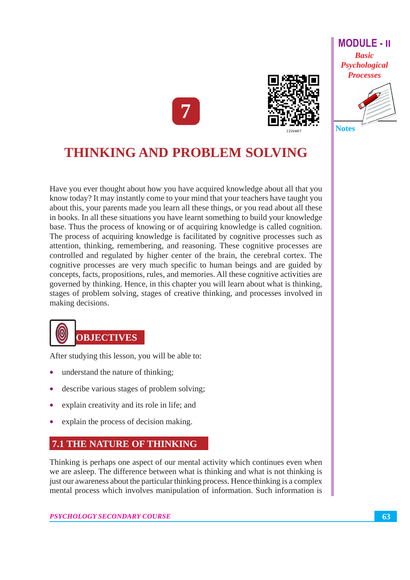



#### **Notes**

# **THINKING AND PROBLEM SOLVING**

Have you ever thought about how you have acquired knowledge about all that you know today? It may instantly come to your mind that your teachers have taught you about this, your parents made you learn all these things, or you read about all these in books. In all these situations you have learnt something to build your knowledge base. Thus the process of knowing or of acquiring knowledge is called cognition. The process of acquiring knowledge is facilitated by cognitive processes such as attention, thinking, remembering, and reasoning. These cognitive processes are controlled and regulated by higher center of the brain, the cerebral cortex. The cognitive processes are very much specific to human beings and are guided by concepts, facts, propositions, rules, and memories. All these cognitive activities are governed by thinking. Hence, in this chapter you will learn about what is thinking, stages of problem solving, stages of creative thinking, and processes involved in making decisions.



After studying this lesson, you will be able to:

- understand the nature of thinking;
- describe various stages of problem solving;
- explain creativity and its role in life; and
- explain the process of decision making.

#### **7.1 THE NATURE OF THINKING**

Thinking is perhaps one aspect of our mental activity which continues even when we are asleep. The difference between what is thinking and what is not thinking is just our awareness about the particular thinking process. Hence thinking is a complex mental process which involves manipulation of information. Such information is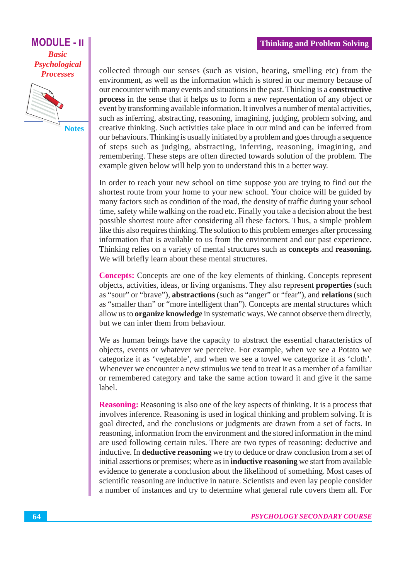#### **Thinking and Problem Solving**

#### **MODULE - II Basic** Psychological **Processes**



**Notes** 

collected through our senses (such as vision, hearing, smelling etc) from the environment, as well as the information which is stored in our memory because of our encounter with many events and situations in the past. Thinking is a **constructive** process in the sense that it helps us to form a new representation of any object or event by transforming available information. It involves a number of mental activities, such as inferring, abstracting, reasoning, imagining, judging, problem solving, and creative thinking. Such activities take place in our mind and can be inferred from our behaviours. Thinking is usually initiated by a problem and goes through a sequence of steps such as judging, abstracting, inferring, reasoning, imagining, and remembering. These steps are often directed towards solution of the problem. The example given below will help you to understand this in a better way.

In order to reach your new school on time suppose you are trying to find out the shortest route from your home to your new school. Your choice will be guided by many factors such as condition of the road, the density of traffic during your school time, safety while walking on the road etc. Finally you take a decision about the best possible shortest route after considering all these factors. Thus, a simple problem like this also requires thinking. The solution to this problem emerges after processing information that is available to us from the environment and our past experience. Thinking relies on a variety of mental structures such as **concepts** and **reasoning.** We will briefly learn about these mental structures.

**Concepts:** Concepts are one of the key elements of thinking. Concepts represent objects, activities, ideas, or living organisms. They also represent **properties** (such as "sour" or "brave"), abstractions (such as "anger" or "fear"), and relations (such as "smaller than" or "more intelligent than"). Concepts are mental structures which allow us to **organize knowledge** in systematic ways. We cannot observe them directly, but we can infer them from behaviour.

We as human beings have the capacity to abstract the essential characteristics of objects, events or whatever we perceive. For example, when we see a Potato we categorize it as 'vegetable', and when we see a towel we categorize it as 'cloth'. Whenever we encounter a new stimulus we tend to treat it as a member of a familiar or remembered category and take the same action toward it and give it the same label.

**Reasoning:** Reasoning is also one of the key aspects of thinking. It is a process that involves inference. Reasoning is used in logical thinking and problem solving. It is goal directed, and the conclusions or judgments are drawn from a set of facts. In reasoning, information from the environment and the stored information in the mind are used following certain rules. There are two types of reasoning: deductive and inductive. In deductive reasoning we try to deduce or draw conclusion from a set of initial assertions or premises; where as in **inductive reasoning** we start from available evidence to generate a conclusion about the likelihood of something. Most cases of scientific reasoning are inductive in nature. Scientists and even lay people consider a number of instances and try to determine what general rule covers them all. For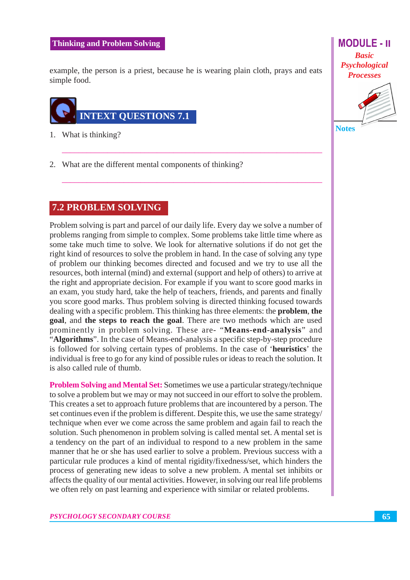#### **Thinking and Problem Solving**

example, the person is a priest, because he is wearing plain cloth, prays and eats simple food.



- 1. What is thinking?
- 2. What are the different mental components of thinking?

#### **7.2 PROBLEM SOLVING**

Problem solving is part and parcel of our daily life. Every day we solve a number of problems ranging from simple to complex. Some problems take little time where as some take much time to solve. We look for alternative solutions if do not get the right kind of resources to solve the problem in hand. In the case of solving any type of problem our thinking becomes directed and focused and we try to use all the resources, both internal (mind) and external (support and help of others) to arrive at the right and appropriate decision. For example if you want to score good marks in an exam, you study hard, take the help of teachers, friends, and parents and finally you score good marks. Thus problem solving is directed thinking focused towards dealing with a specific problem. This thinking has three elements: the **problem, the** goal, and the steps to reach the goal. There are two methods which are used prominently in problem solving. These are- "Means-end-analysis" and "Algorithms". In the case of Means-end-analysis a specific step-by-step procedure is followed for solving certain types of problems. In the case of 'heuristics' the individual is free to go for any kind of possible rules or ideas to reach the solution. It is also called rule of thumb.

**Problem Solving and Mental Set:** Sometimes we use a particular strategy/technique to solve a problem but we may or may not succeed in our effort to solve the problem. This creates a set to approach future problems that are incountered by a person. The set continues even if the problem is different. Despite this, we use the same strategy/ technique when ever we come across the same problem and again fail to reach the solution. Such phenomenon in problem solving is called mental set. A mental set is a tendency on the part of an individual to respond to a new problem in the same manner that he or she has used earlier to solve a problem. Previous success with a particular rule produces a kind of mental rigidity/fixedness/set, which hinders the process of generating new ideas to solve a new problem. A mental set inhibits or affects the quality of our mental activities. However, in solving our real life problems we often rely on past learning and experience with similar or related problems.

**MODULE - II Basic** Psychological **Processes** 



65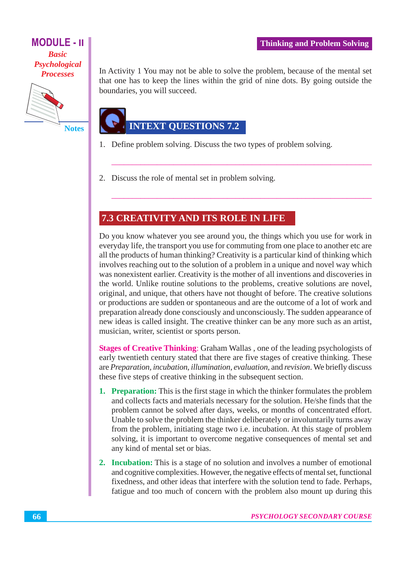#### **MODULE - II Basic** Psychological **Processes**



**Notes** 

In Activity 1 You may not be able to solve the problem, because of the mental set that one has to keep the lines within the grid of nine dots. By going outside the boundaries, you will succeed.

## **INTEXT QUESTIONS 7.2**

- 1. Define problem solving. Discuss the two types of problem solving.
- 2. Discuss the role of mental set in problem solving.

#### 7.3 CREATIVITY AND ITS ROLE IN LIFE

Do you know whatever you see around you, the things which you use for work in everyday life, the transport you use for commuting from one place to another etc are all the products of human thinking? Creativity is a particular kind of thinking which involves reaching out to the solution of a problem in a unique and novel way which was nonexistent earlier. Creativity is the mother of all inventions and discoveries in the world. Unlike routine solutions to the problems, creative solutions are novel, original, and unique, that others have not thought of before. The creative solutions or productions are sudden or spontaneous and are the outcome of a lot of work and preparation already done consciously and unconsciously. The sudden appearance of new ideas is called insight. The creative thinker can be any more such as an artist, musician, writer, scientist or sports person.

**Stages of Creative Thinking: Graham Wallas, one of the leading psychologists of** early twentieth century stated that there are five stages of creative thinking. These are Preparation, incubation, illumination, evaluation, and revision. We briefly discuss these five steps of creative thinking in the subsequent section.

- 1. Preparation: This is the first stage in which the thinker formulates the problem and collects facts and materials necessary for the solution. He/she finds that the problem cannot be solved after days, weeks, or months of concentrated effort. Unable to solve the problem the thinker deliberately or involuntarily turns away from the problem, initiating stage two i.e. incubation. At this stage of problem solving, it is important to overcome negative consequences of mental set and any kind of mental set or bias.
- 2. Incubation: This is a stage of no solution and involves a number of emotional and cognitive complexities. However, the negative effects of mental set, functional fixedness, and other ideas that interfere with the solution tend to fade. Perhaps, fatigue and too much of concern with the problem also mount up during this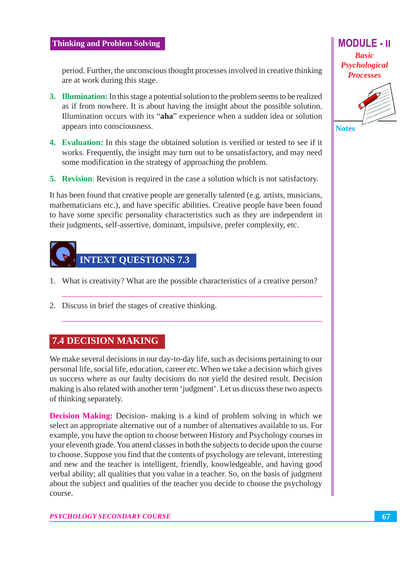#### **Thinking and Problem Solving**

period. Further, the unconscious thought processes involved in creative thinking are at work during this stage.

- 3. Illumination: In this stage a potential solution to the problem seems to be realized as if from nowhere. It is about having the insight about the possible solution. Illumination occurs with its "aha" experience when a sudden idea or solution appears into consciousness.
- 4. Evaluation: In this stage the obtained solution is verified or tested to see if it works. Frequently, the insight may turn out to be unsatisfactory, and may need some modification in the strategy of approaching the problem.
- **5. Revision:** Revision is required in the case a solution which is not satisfactory.

It has been found that creative people are generally talented (e.g. artists, musicians, mathematicians etc.), and have specific abilities. Creative people have been found to have some specific personality characteristics such as they are independent in their judgments, self-assertive, dominant, impulsive, prefer complexity, etc.



- 1. What is creativity? What are the possible characteristics of a creative person?
- 2. Discuss in brief the stages of creative thinking.

#### 7.4 DECISION MAKING

We make several decisions in our day-to-day life, such as decisions pertaining to our personal life, social life, education, career etc. When we take a decision which gives us success where as our faulty decisions do not yield the desired result. Decision making is also related with another term 'judgment'. Let us discuss these two aspects of thinking separately.

**Decision Making:** Decision- making is a kind of problem solving in which we select an appropriate alternative out of a number of alternatives available to us. For example, you have the option to choose between History and Psychology courses in your eleventh grade. You attend classes in both the subjects to decide upon the course to choose. Suppose you find that the contents of psychology are relevant, interesting and new and the teacher is intelligent, friendly, knowledgeable, and having good verbal ability; all qualities that you value in a teacher. So, on the basis of judgment about the subject and qualities of the teacher you decide to choose the psychology course.

**MODULE - II Basic** Psychological **Processes** 

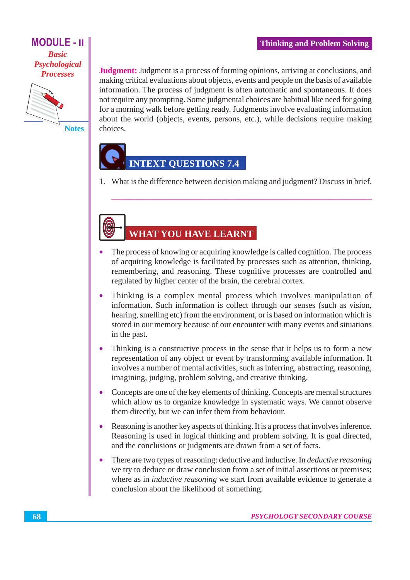#### **MODULE - II Basic** Psychological **Processes**



**Notes** 

**Judgment:** Judgment is a process of forming opinions, arriving at conclusions, and making critical evaluations about objects, events and people on the basis of available information. The process of judgment is often automatic and spontaneous. It does not require any prompting. Some judgmental choices are habitual like need for going for a morning walk before getting ready. Judgments involve evaluating information about the world (objects, events, persons, etc.), while decisions require making choices.

### **INTEXT OUESTIONS 7.4**

1. What is the difference between decision making and judgment? Discuss in brief.

# **WHAT YOU HAVE LEARNT**

- The process of knowing or acquiring knowledge is called cognition. The process  $\bullet$ of acquiring knowledge is facilitated by processes such as attention, thinking, remembering, and reasoning. These cognitive processes are controlled and regulated by higher center of the brain, the cerebral cortex.
- Thinking is a complex mental process which involves manipulation of information. Such information is collect through our senses (such as vision, hearing, smelling etc) from the environment, or is based on information which is stored in our memory because of our encounter with many events and situations in the past.
- Thinking is a constructive process in the sense that it helps us to form a new representation of any object or event by transforming available information. It involves a number of mental activities, such as inferring, abstracting, reasoning, imagining, judging, problem solving, and creative thinking.
- Concepts are one of the key elements of thinking. Concepts are mental structures which allow us to organize knowledge in systematic ways. We cannot observe them directly, but we can infer them from behaviour.
- Reasoning is another key aspects of thinking. It is a process that involves inference. Reasoning is used in logical thinking and problem solving. It is goal directed, and the conclusions or judgments are drawn from a set of facts.
- $\bullet$ There are two types of reasoning: deductive and inductive. In *deductive reasoning* we try to deduce or draw conclusion from a set of initial assertions or premises; where as in *inductive reasoning* we start from available evidence to generate a conclusion about the likelihood of something.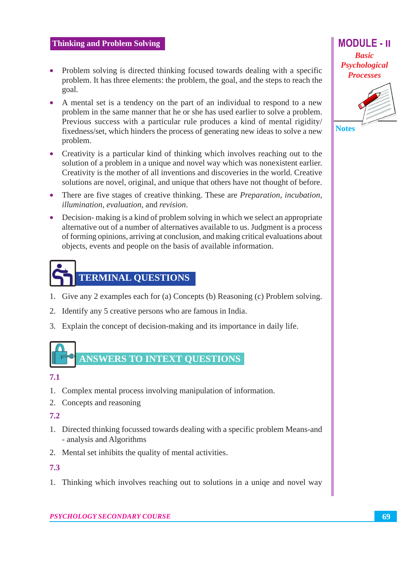- Problem solving is directed thinking focused towards dealing with a specific problem. It has three elements: the problem, the goal, and the steps to reach the goal.
- A mental set is a tendency on the part of an individual to respond to a new problem in the same manner that he or she has used earlier to solve a problem. Previous success with a particular rule produces a kind of mental rigidity/ fixedness/set, which hinders the process of generating new ideas to solve a new problem.
- Creativity is a particular kind of thinking which involves reaching out to the solution of a problem in a unique and novel way which was nonexistent earlier. Creativity is the mother of all inventions and discoveries in the world. Creative solutions are novel, original, and unique that others have not thought of before.
- There are five stages of creative thinking. These are *Preparation*, *incubation*, *illumination, evaluation, and revision.*
- Decision- making is a kind of problem solving in which we select an appropriate alternative out of a number of alternatives available to us. Judgment is a process of forming opinions, arriving at conclusion, and making critical evaluations about objects, events and people on the basis of available information.



- 1. Give any 2 examples each for (a) Concepts (b) Reasoning (c) Problem solving.
- 2. Identify any 5 creative persons who are famous in India.
- 3. Explain the concept of decision-making and its importance in daily life.

# **ANSWERS TO INTEXT OUESTIONS**

#### $7.1$

- 1. Complex mental process involving manipulation of information.
- 2. Concepts and reasoning

#### $7.2$

- 1. Directed thinking focussed towards dealing with a specific problem Means-and - analysis and Algorithms
- 2. Mental set inhibits the quality of mental activities.

#### $7.3$

1. Thinking which involves reaching out to solutions in a unique and novel way

**MODULE - II Basic** Psychological **Processes**